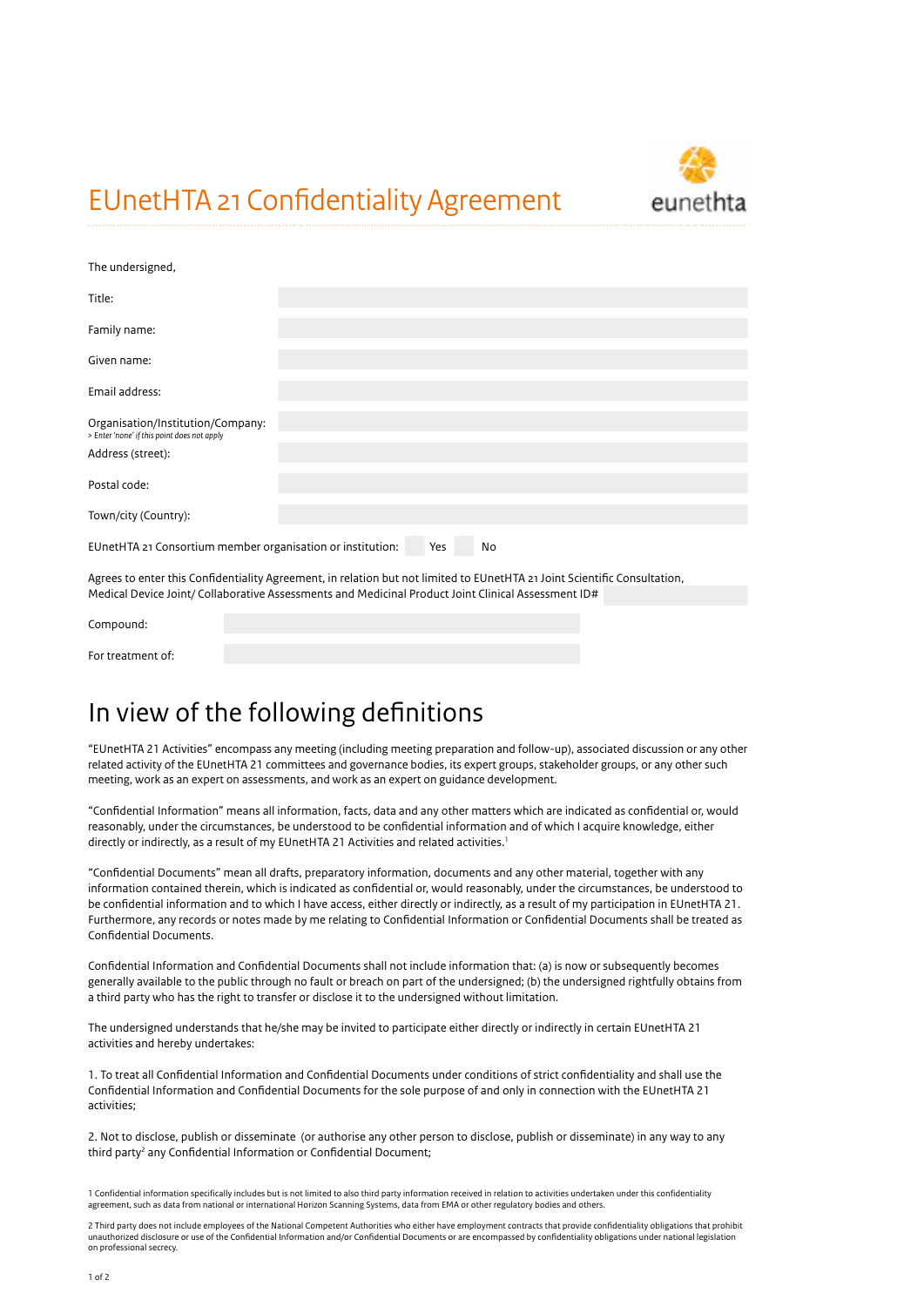EUnetHTA 21 Confidentiality Agreement



The undersigned

| <b>THE UNDERSTED</b>                                                                                                                 |  |  |  |  |  |
|--------------------------------------------------------------------------------------------------------------------------------------|--|--|--|--|--|
| Title:                                                                                                                               |  |  |  |  |  |
|                                                                                                                                      |  |  |  |  |  |
| Family name:                                                                                                                         |  |  |  |  |  |
|                                                                                                                                      |  |  |  |  |  |
| Given name:                                                                                                                          |  |  |  |  |  |
|                                                                                                                                      |  |  |  |  |  |
| Email address:                                                                                                                       |  |  |  |  |  |
|                                                                                                                                      |  |  |  |  |  |
| Organisation/Institution/Company:                                                                                                    |  |  |  |  |  |
| > Enter 'none' if this point does not apply                                                                                          |  |  |  |  |  |
| Address (street):                                                                                                                    |  |  |  |  |  |
|                                                                                                                                      |  |  |  |  |  |
| Postal code:                                                                                                                         |  |  |  |  |  |
|                                                                                                                                      |  |  |  |  |  |
| Town/city (Country):                                                                                                                 |  |  |  |  |  |
|                                                                                                                                      |  |  |  |  |  |
| EUnetHTA 21 Consortium member organisation or institution:<br>Yes<br>No                                                              |  |  |  |  |  |
| A concern concentrate the final time A concerns to collect to the self-content and the collect the final time to the self-collection |  |  |  |  |  |
|                                                                                                                                      |  |  |  |  |  |

Agrees to enter this Confidentiality Agreement, in relation but not limited to EUnetHTA 21 Joint Scientific Consultation, Medical Device Joint/ Collaborative Assessments and Medicinal Product Joint Clinical Assessment ID#

| Compound:         |  |
|-------------------|--|
| For treatment of: |  |

## In view of the following definitions

"EUnetHTA 21 Activities" encompass any meeting (including meeting preparation and follow-up), associated discussion or any other related activity of the EUnetHTA 21 committees and governance bodies, its expert groups, stakeholder groups, or any other such meeting, work as an expert on assessments, and work as an expert on guidance development.

"Confidential Information" means all information, facts, data and any other matters which are indicated as confidential or, would reasonably, under the circumstances, be understood to be confidential information and of which I acquire knowledge, either directly or indirectly, as a result of my EUnetHTA 21 Activities and related activities.<sup>1</sup>

"Confidential Documents" mean all drafts, preparatory information, documents and any other material, together with any information contained therein, which is indicated as confidential or, would reasonably, under the circumstances, be understood to be confidential information and to which I have access, either directly or indirectly, as a result of my participation in EUnetHTA 21. Furthermore, any records or notes made by me relating to Confidential Information or Confidential Documents shall be treated as Confidential Documents.

Confidential Information and Confidential Documents shall not include information that: (a) is now or subsequently becomes generally available to the public through no fault or breach on part of the undersigned; (b) the undersigned rightfully obtains from a third party who has the right to transfer or disclose it to the undersigned without limitation.

The undersigned understands that he/she may be invited to participate either directly or indirectly in certain EUnetHTA 21 activities and hereby undertakes:

1. To treat all Confidential Information and Confidential Documents under conditions of strict confidentiality and shall use the Confidential Information and Confidential Documents for the sole purpose of and only in connection with the EUnetHTA 21 activities;

2. Not to disclose, publish or disseminate (or authorise any other person to disclose, publish or disseminate) in any way to any third party<sup>2</sup> any Confidential Information or Confidential Document;

1 Confidential information specifically includes but is not limited to also third party information received in relation to activities undertaken under this confidentiality agreement, such as data from national or international Horizon Scanning Systems, data from EMA or other regulatory bodies and others.

2 Third party does not include employees of the National Competent Authorities who either have employment contracts that provide confidentiality obligations that prohibit unauthorized disclosure or use of the Confidential Information and/or Confidential Documents or are encompassed by confidentiality obligations under national legislation on professional secrecy.